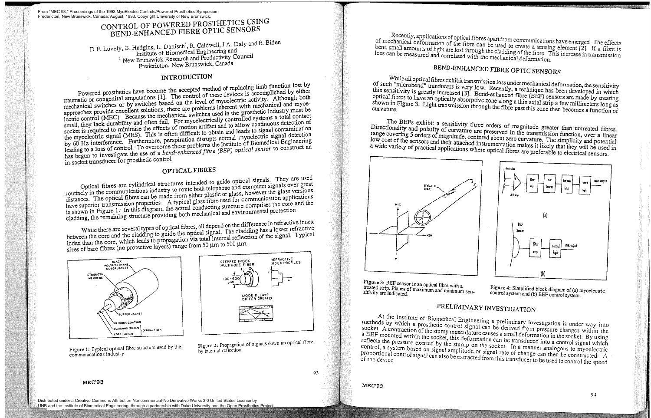## CONTROL OF POWERED PROSTHETICS USING BEND-ENHANCED FIBRE OPTIC SENSORS

D.F. Lovely, B. Hudgins, L. Danisch<sup>1</sup>, R. Caldwell, J.A. Daly and E. Biden Institute of Biomedical Engineering and <sup>1</sup> New Brunswick Research and Productivity Council Fredericton, New Brunswick, Canada

### INTRODUCTION

Powered prosthetics have become the accepted method of replacing limb function lost by<br>Powered prosthetics have become the accepted method of these devices is accomplished by either traumatic or congenital amputations [13. The control of these devices is accomplished by either mechanical switches or by switches based on the level of myoelectric activity. Although both approaches provide excellent solutions, there are problems inherent with mechanical and myoelectric control (MEC). Because the mechanical switches used in the prosthetic industry must be small, they lack durability and often fail. For myoelectrically controlled systems a total contact socket is required to minimise the effects of motion artifact and to allow continuous detection of the myoelectric signal (MES). This is often difficult to obtain and leads to signal contamination by 60 Hz interference. Furthermore, perspiration disrupts normal myoelectric signal detection leading to a loss of control. To overcome these problems the Institute of Biomedical Engineering has begun to investigate the use of a *bend-enhanced fibre (BEF) optical sensor* to construct an in-socket transducer for prosthetic control

While there are several types of optical fibres, all depend on the difference in refractive index between the core and the cladding to guide the optical signal. The cladding has a lower refractive index than the core, which leads to propagation via total internal reflection of the signal. Typical sizes of bare fibres (no protective layers) range from 50  $\mu$ m to 500  $\mu$ m.

### OPTICAL FIBRES

Optical fibres ase cylindrical structures intended to guide optical signals They are used routinely in the communications industry to route both telephone and computer signals over great distances. The optical fibres can be made from either plastic or glass, however the glass versions have superior transmission properties. A typical glass fibre used for communication applications is shown in Figure 1. In this diagram, the actual conducting structure comprises the core and the cladding, the remaining structure providing both mechanical and environmental protection



Figure I: Typical optical fibre structure used by the communications industry



Figure 2: Propagation of signals down an optical fibm by internal reflection.

Recently, applications of optical fibres apart from communications have emerged. The effects of mechanical deformation of the fibre can be used to create a sensing element [2]. If a fibre is bent, small amounts of light ar thent, small amounts of light are lost through the cladding of the fibre. This increase in transmission

BEND-ENHANCED FIBRE OPTIC SENSORS<br>While all optical fibres exhibit transmission loss under mechanical deformation, the sensitivity of such "microbend" tranducers is very low. Recently, a technique has been developed in which<br>this sensitivity is greatly increased [3]. Bend-enhanced fibre (BEF) sensors are made by treating<br>optical fibres to have an opti this sensitivity is greatly increased [3]. Bend-enhanced fibre (BEF) sensors are made by treating absorption rich at the strip and the strip and the fibre past this zone then becomes a function of shown in Figure 3. Light transmission through the fibre past this zone then becomes a function of

The BEFs exhibit a sensitivity three orders of magnitude greater than untreated fibres.<br>Directionality and polarity of curvature are preserved in the transmission function, over a linear<br>range covering 5 orders of magnitud



Figure 3: BEF sensor is an optical fibre with a treated strip. Planes of maximum and minimum sen-<br>sitivity are indicated

At the Institute of Biomedical Engineering a preliminary investigation is under way into methods by which a prosthetic control signal can be derived from pressure changes within the socket. A contraction of the stump muscu a BEF mounted within the socket, this deformation can be transduced into a control signal which<br>reflects the pressure exerted by the stump on the socket. In a manner analogous to myoelectric<br>control, a system based on sign

**MEC'93** 



# PRELIMINARY INVESTIGATION

93

MEC'93

From "MEC 93," Proceedings of the 1993 MyoElectric Controls/Powered Prosthetics Symposium Fredericton, New Brunswick, Canada: August, 1993. Copyright University of New Brunswick.

Distributed under a Creative Commons Attribution-Noncommercial-No Derivative Works 3.0 United States License by UNB and the Institute of Biomedical Engineering, through a partnership with Duke University and the Open Prosthetics Project.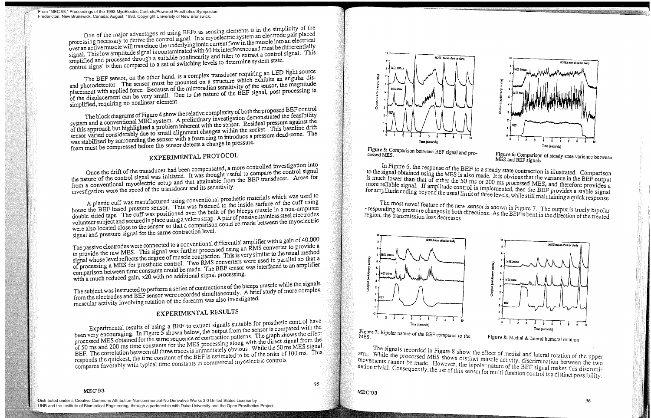The block diagrams of Figure 4 show the relative complexity of both the proposed BEF control system and a conventional MEC system A preliminary investigation demonstrated the feasibility of this approach but highlighted a problem inherent with the sensor. Residual pressure against the sensor varied considerably due to small alignment changes within the socket This baseline drift was stabilized by surrounding the sensor with a foam ring to introduce a pressure dead-zone The foam must be compressed before the sensor detects a change in pressure.

The BEF sensor, on the other hand, is a complex transducer requiring an LED light source and photodetector. The sensor must be mounted on a structure which exhibits an angular displacement with applied force. Because of the microradian sensitivity of the sensor, the magnitude of the displacement can be very small. Due to the nature of the BEF signal, post processing is simplified, requiring no nonlinear element

A plastic cuff was manufactured using conventional prosthetic materials which was used to house the BEF based pressure sensor. This was fastened to the inside surface of the cuff using double sided tape. The cuff was positioned over the bulk of the biceps muscle in a non-amputee volunteer subject and secured in place using a velcro strap. A pair of passive stainless steel electrodes were also located close to the sensor so that a comparison could be made between the myoelectric signal and pressure signal for the same contraction level.

The passive electrodes were connected to a conventional differential amplifier with a gain of 40,000 to provide the raw MES. This signal was further processed using an RMS converter to provide a signal whose level reflects the degree of muscle contraction. This is very similar to the usual method of processing a MES foi prosthetic control Two RMS converters were used in parallel so that a comparison between time constants could be made The BEF sensor was interfaced to an amplifier with a much reduced gain, x20 with no additional signal processing.

### EXPERIMENTAL PROTOCOL

Once the drift of the transducer had been compensated, a more controlled investigation into the nature of the control signal was initiated. It was thought useful to compare the control signal from a conventional myoelectric setup and that attainable from the BEF transducer Areas for investigation were the speed of the transducer and its sensitivity

The subject was instructed to perform a series of contractions of the biceps muscle while the signals from the electrodes and BEF sensor were recorded simultaneously A brief study of more complex muscular activity involving rotation of the forearm was also investigated

### EXPERIMENTAL RESULTS

Experimental results of using a BEF to extract signals suitable for prosthetic control have been very encouraging. In Figure 5 shown below, the output from the sensor is compared with the processed MES obtained for the same sequence of contraction patterns The graph shows the effect of 50 ms and 200 ms time constants for the MES processing along with the direct signal from the BEF The correlation between all three traces is immediately obvious While the 50 ms MES signal responds the quickest, the time constant of the BEF is estimated to be of the order of 100 ms. This compares favorably with typical time constants in commercial myoelectric controls

### MEC'93

95



Figure 5: Comparison between BEF signal and pro-<br>cessed MES.

I MES.<br>In Figure 6, the response of the BEF to a steady state contraction is illustrated. Comparison<br>In Figure 6, the response of the BEF to a steady state contraction is illustrated. Comparison to the signal obtained using the MES is also made. It is obvious that the variance in the BEF output<br>is much lower than that of either the 50 ms or 200 ms processed MES, and therefore provides a<br>more reliable signal. If am for amplitude coding beyond the usual limit of three levels, while still maintaining a quick response.<br>The most novel feature of the new sensor is shown in Figure 7. The output is truely bipolar

- responding to pressure changes in both directions. As the BEF is bent in the direction of the treated region, the transmission loss decreases.



MES Figure 7: Bipolar nature of the BEF compared to the

The signals recorded in Figure 8 show the effect of medial and lateral rotation of the upper arm. While the processed MES shows distinct muscle activity, discrimination between the two movements cannot be made. However, th hation trivial. Consequently, the use of this sensor for multi-function control is a distinct possibility.

MEC'93





Figure 8: Medial & lateral humeral rotation

From "MEC 93," Proceedings of the 1993 MyoElectric Controls/Powered Prosthetics Symposium Fredericton, New Brunswick, Canada: August, 1993. Copyright University of New Brunswick.

> One of the major advantages of using BEFs as sensing elements is in the simplicity of the processing necessary to derive the control signal In a myoelectric system an electrode pair placed over an activemuscle will transduce the underlying ionic currentflow in the muscle into an electrical signal. This low amplitude signal is contaminated with 60 Hz interference and must be differentially amplified and processed through a suitable nonlinearity and filter to extract a control signal This control signal is then compared to a set of switching levels to determine system state.